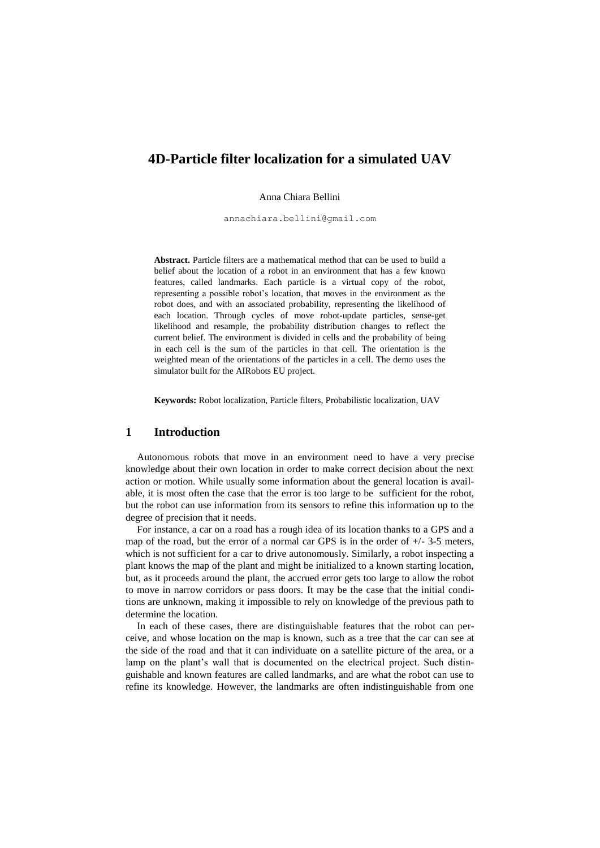# **4D-Particle filter localization for a simulated UAV**

Anna Chiara Bellini

[annachiara.bellini@gmail.com](mailto:annachiara.bellini@gmail.com)

**Abstract.** Particle filters are a mathematical method that can be used to build a belief about the location of a robot in an environment that has a few known features, called landmarks. Each particle is a virtual copy of the robot, representing a possible robot's location, that moves in the environment as the robot does, and with an associated probability, representing the likelihood of each location. Through cycles of move robot-update particles, sense-get likelihood and resample, the probability distribution changes to reflect the current belief. The environment is divided in cells and the probability of being in each cell is the sum of the particles in that cell. The orientation is the weighted mean of the orientations of the particles in a cell. The demo uses the simulator built for the AIRobots EU project.

**Keywords:** Robot localization, Particle filters, Probabilistic localization, UAV

## **1 Introduction**

Autonomous robots that move in an environment need to have a very precise knowledge about their own location in order to make correct decision about the next action or motion. While usually some information about the general location is available, it is most often the case that the error is too large to be sufficient for the robot, but the robot can use information from its sensors to refine this information up to the degree of precision that it needs.

For instance, a car on a road has a rough idea of its location thanks to a GPS and a map of the road, but the error of a normal car GPS is in the order of  $+/- 3.5$  meters, which is not sufficient for a car to drive autonomously. Similarly, a robot inspecting a plant knows the map of the plant and might be initialized to a known starting location, but, as it proceeds around the plant, the accrued error gets too large to allow the robot to move in narrow corridors or pass doors. It may be the case that the initial conditions are unknown, making it impossible to rely on knowledge of the previous path to determine the location.

In each of these cases, there are distinguishable features that the robot can perceive, and whose location on the map is known, such as a tree that the car can see at the side of the road and that it can individuate on a satellite picture of the area, or a lamp on the plant's wall that is documented on the electrical project. Such distinguishable and known features are called landmarks, and are what the robot can use to refine its knowledge. However, the landmarks are often indistinguishable from one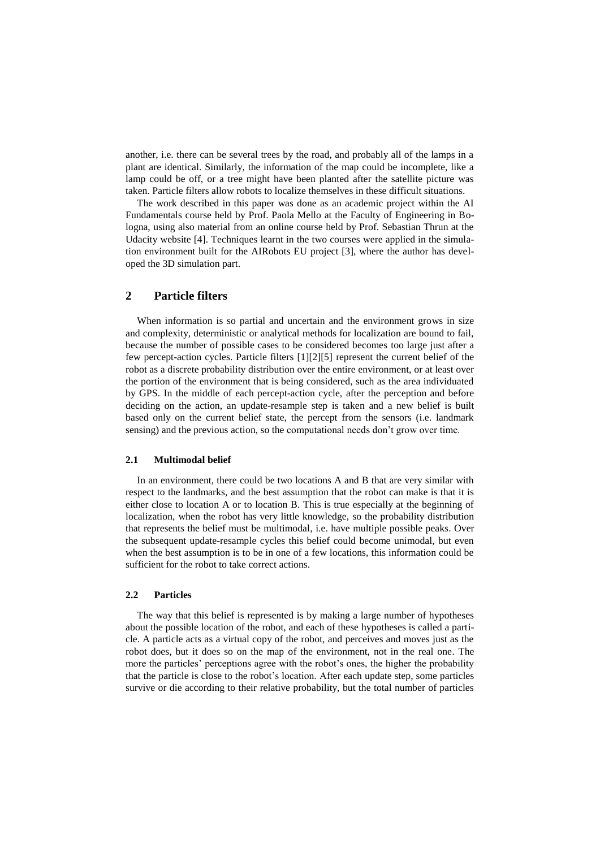another, i.e. there can be several trees by the road, and probably all of the lamps in a plant are identical. Similarly, the information of the map could be incomplete, like a lamp could be off, or a tree might have been planted after the satellite picture was taken. Particle filters allow robots to localize themselves in these difficult situations.

The work described in this paper was done as an academic project within the AI Fundamentals course held by Prof. Paola Mello at the Faculty of Engineering in Bologna, using also material from an online course held by Prof. Sebastian Thrun at the Udacity website [4]. Techniques learnt in the two courses were applied in the simulation environment built for the AIRobots EU project [3], where the author has developed the 3D simulation part.

## **2 Particle filters**

When information is so partial and uncertain and the environment grows in size and complexity, deterministic or analytical methods for localization are bound to fail, because the number of possible cases to be considered becomes too large just after a few percept-action cycles. Particle filters [1][2][5] represent the current belief of the robot as a discrete probability distribution over the entire environment, or at least over the portion of the environment that is being considered, such as the area individuated by GPS. In the middle of each percept-action cycle, after the perception and before deciding on the action, an update-resample step is taken and a new belief is built based only on the current belief state, the percept from the sensors (i.e. landmark sensing) and the previous action, so the computational needs don't grow over time.

#### **2.1 Multimodal belief**

In an environment, there could be two locations A and B that are very similar with respect to the landmarks, and the best assumption that the robot can make is that it is either close to location A or to location B. This is true especially at the beginning of localization, when the robot has very little knowledge, so the probability distribution that represents the belief must be multimodal, i.e. have multiple possible peaks. Over the subsequent update-resample cycles this belief could become unimodal, but even when the best assumption is to be in one of a few locations, this information could be sufficient for the robot to take correct actions.

#### **2.2 Particles**

The way that this belief is represented is by making a large number of hypotheses about the possible location of the robot, and each of these hypotheses is called a particle. A particle acts as a virtual copy of the robot, and perceives and moves just as the robot does, but it does so on the map of the environment, not in the real one. The more the particles' perceptions agree with the robot's ones, the higher the probability that the particle is close to the robot's location. After each update step, some particles survive or die according to their relative probability, but the total number of particles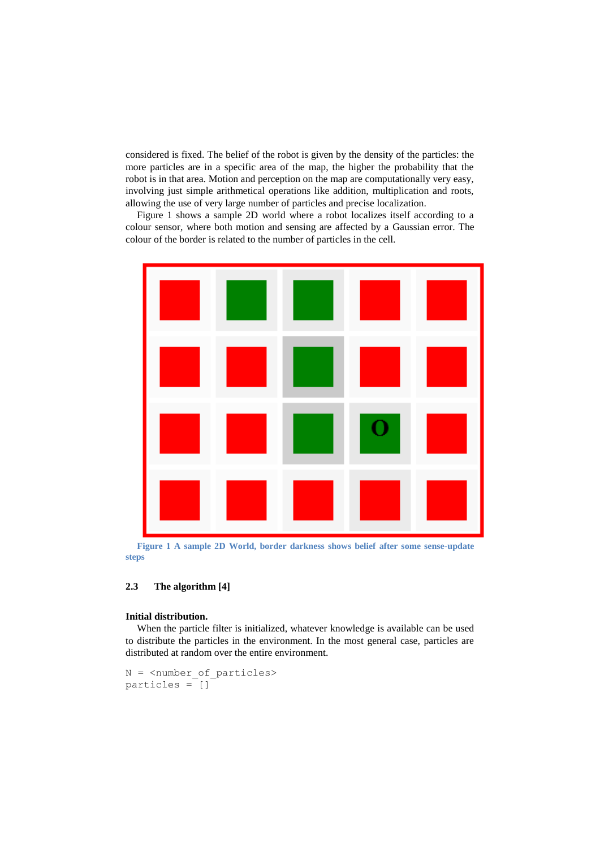considered is fixed. The belief of the robot is given by the density of the particles: the more particles are in a specific area of the map, the higher the probability that the robot is in that area. Motion and perception on the map are computationally very easy, involving just simple arithmetical operations like addition, multiplication and roots, allowing the use of very large number of particles and precise localization.

Figure 1 shows a sample 2D world where a robot localizes itself according to a colour sensor, where both motion and sensing are affected by a Gaussian error. The colour of the border is related to the number of particles in the cell.



**Figure 1 A sample 2D World, border darkness shows belief after some sense-update steps**

### **2.3 The algorithm [4]**

#### **Initial distribution.**

When the particle filter is initialized, whatever knowledge is available can be used to distribute the particles in the environment. In the most general case, particles are distributed at random over the entire environment.

```
N = <number of particles>
particles = []
```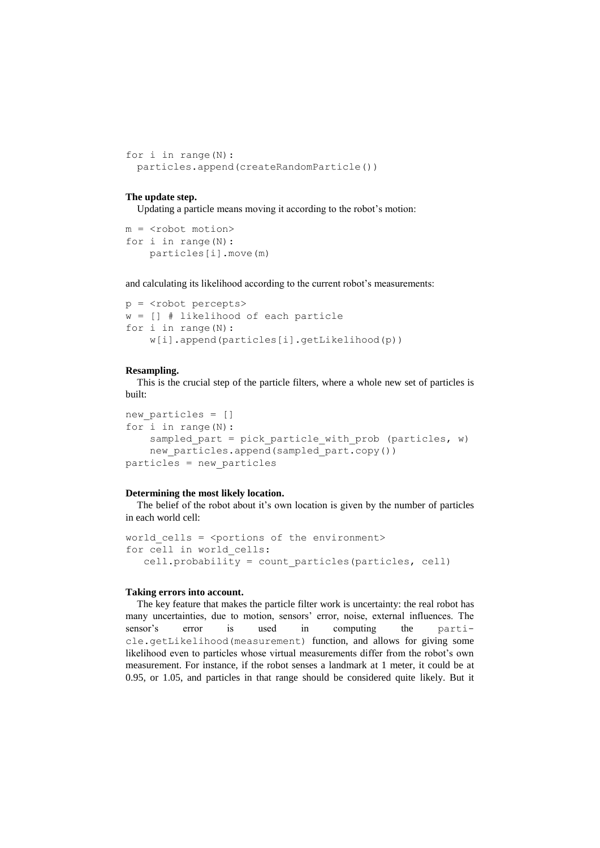```
for i in range(N): 
 particles.append(createRandomParticle())
```
#### **The update step.**

Updating a particle means moving it according to the robot's motion:

```
m = <robot motion>
for i in range(N):
     particles[i].move(m)
```
and calculating its likelihood according to the current robot's measurements:

```
p = <robot percepts>
w = [] # likelihood of each particle
for i in range(N):
     w[i].append(particles[i].getLikelihood(p))
```
#### **Resampling.**

This is the crucial step of the particle filters, where a whole new set of particles is built:

```
new particles = []
for i in range(N):
   sampled part = pick particle with prob (particles, w)
   new particles.append(sampled_part.copy())
particles = new_particles
```
#### **Determining the most likely location.**

The belief of the robot about it's own location is given by the number of particles in each world cell:

```
world cells = <sub>portions</sub> of the environment></sub>
for cell in world_cells:
    cell.probability = count_particles(particles, cell)
```
#### **Taking errors into account.**

The key feature that makes the particle filter work is uncertainty: the real robot has many uncertainties, due to motion, sensors' error, noise, external influences. The sensor's error is used in computing the particle.getLikelihood(measurement) function, and allows for giving some likelihood even to particles whose virtual measurements differ from the robot's own measurement. For instance, if the robot senses a landmark at 1 meter, it could be at 0.95, or 1.05, and particles in that range should be considered quite likely. But it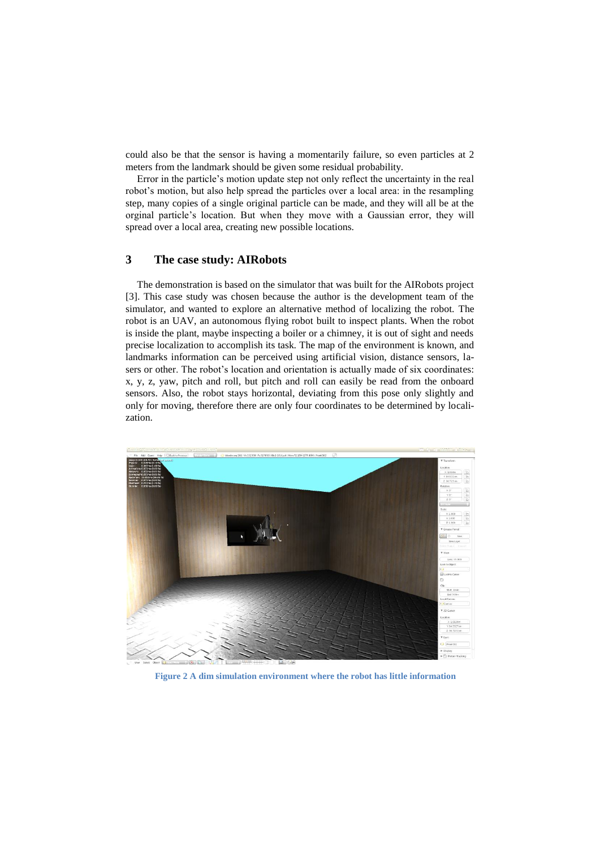could also be that the sensor is having a momentarily failure, so even particles at 2 meters from the landmark should be given some residual probability.

Error in the particle's motion update step not only reflect the uncertainty in the real robot's motion, but also help spread the particles over a local area: in the resampling step, many copies of a single original particle can be made, and they will all be at the orginal particle's location. But when they move with a Gaussian error, they will spread over a local area, creating new possible locations.

## **3 The case study: AIRobots**

The demonstration is based on the simulator that was built for the AIRobots project [3]. This case study was chosen because the author is the development team of the simulator, and wanted to explore an alternative method of localizing the robot. The robot is an UAV, an autonomous flying robot built to inspect plants. When the robot is inside the plant, maybe inspecting a boiler or a chimney, it is out of sight and needs precise localization to accomplish its task. The map of the environment is known, and landmarks information can be perceived using artificial vision, distance sensors, lasers or other. The robot's location and orientation is actually made of six coordinates: x, y, z, yaw, pitch and roll, but pitch and roll can easily be read from the onboard sensors. Also, the robot stays horizontal, deviating from this pose only slightly and only for moving, therefore there are only four coordinates to be determined by localization.



**Figure 2 A dim simulation environment where the robot has little information**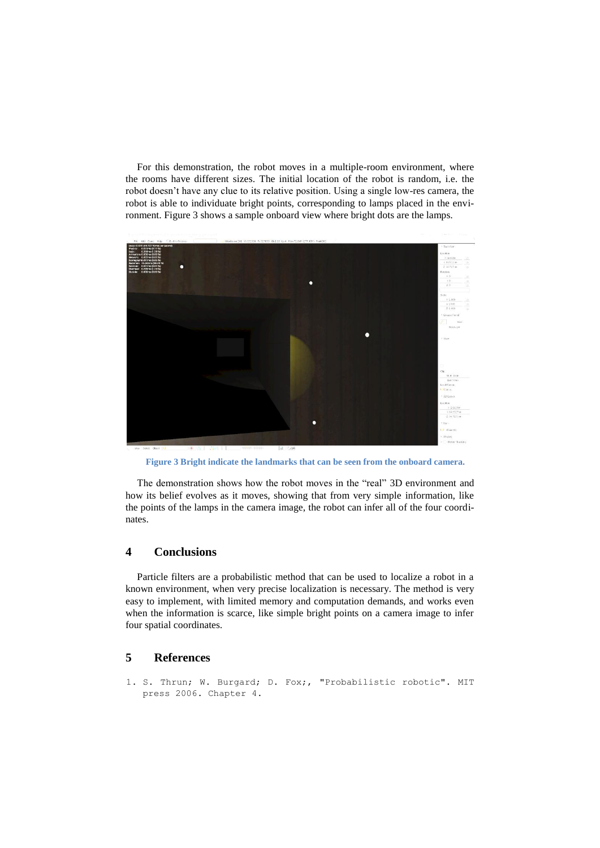For this demonstration, the robot moves in a multiple-room environment, where the rooms have different sizes. The initial location of the robot is random, i.e. the robot doesn't have any clue to its relative position. Using a single low-res camera, the robot is able to individuate bright points, corresponding to lamps placed in the environment. Figure 3 shows a sample onboard view where bright dots are the lamps.



**Figure 3 Bright indicate the landmarks that can be seen from the onboard camera.**

The demonstration shows how the robot moves in the "real" 3D environment and how its belief evolves as it moves, showing that from very simple information, like the points of the lamps in the camera image, the robot can infer all of the four coordinates.

### **4 Conclusions**

Particle filters are a probabilistic method that can be used to localize a robot in a known environment, when very precise localization is necessary. The method is very easy to implement, with limited memory and computation demands, and works even when the information is scarce, like simple bright points on a camera image to infer four spatial coordinates.

### **5 References**

1. S. Thrun; W. Burgard; D. Fox;, "Probabilistic robotic". MIT press 2006. Chapter 4.